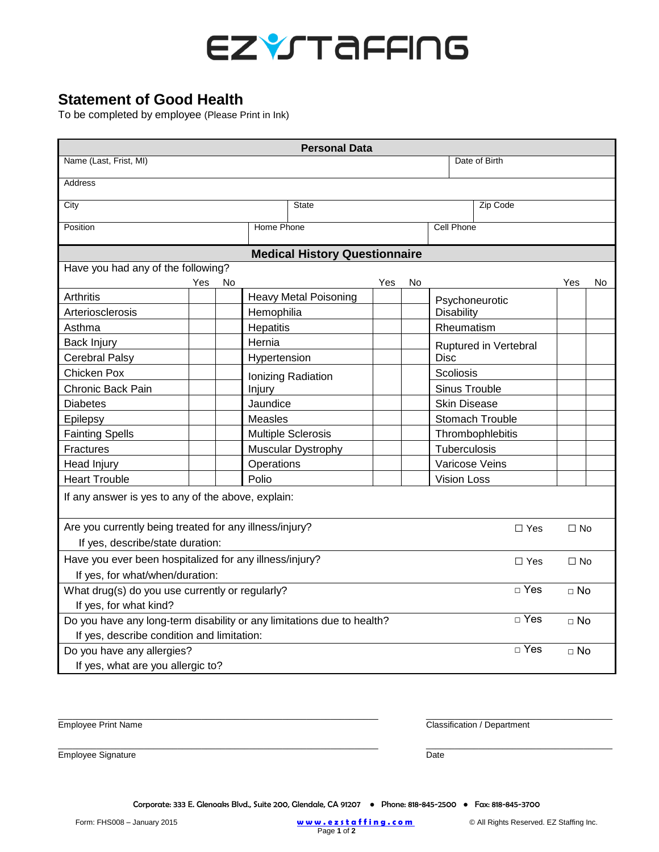

## **Statement of Good Health**

To be completed by employee (Please Print in Ink)

| <b>Personal Data</b>                                                                    |                              |                           |               |            |                       |                  |           |             |  |  |
|-----------------------------------------------------------------------------------------|------------------------------|---------------------------|---------------|------------|-----------------------|------------------|-----------|-------------|--|--|
| Name (Last, Frist, MI)<br>Date of Birth                                                 |                              |                           |               |            |                       |                  |           |             |  |  |
| <b>Address</b>                                                                          |                              |                           |               |            |                       |                  |           |             |  |  |
| City                                                                                    |                              |                           |               | Zip Code   |                       |                  |           |             |  |  |
| Position                                                                                | Home Phone                   | <b>Cell Phone</b>         |               |            |                       |                  |           |             |  |  |
| <b>Medical History Questionnaire</b>                                                    |                              |                           |               |            |                       |                  |           |             |  |  |
| Have you had any of the following?                                                      |                              |                           |               |            |                       |                  |           |             |  |  |
| Yes<br>No                                                                               |                              |                           | Yes           | No         |                       |                  | Yes       | No          |  |  |
| Arthritis                                                                               | <b>Heavy Metal Poisoning</b> |                           |               |            | Psychoneurotic        |                  |           |             |  |  |
| Arteriosclerosis                                                                        | Hemophilia                   |                           |               | Disability |                       |                  |           |             |  |  |
| Asthma                                                                                  | Hepatitis                    |                           |               |            | Rheumatism            |                  |           |             |  |  |
| <b>Back Injury</b>                                                                      | Hernia                       |                           |               |            | Ruptured in Vertebral |                  |           |             |  |  |
| <b>Cerebral Palsy</b>                                                                   | Hypertension                 |                           |               |            | <b>Disc</b>           |                  |           |             |  |  |
| Chicken Pox                                                                             | Ionizing Radiation           |                           |               |            | Scoliosis             |                  |           |             |  |  |
| <b>Chronic Back Pain</b>                                                                | Injury                       |                           | Sinus Trouble |            |                       |                  |           |             |  |  |
| <b>Diabetes</b>                                                                         | Jaundice                     |                           |               |            | <b>Skin Disease</b>   |                  |           |             |  |  |
| Epilepsy                                                                                | Measles                      |                           |               |            |                       | Stomach Trouble  |           |             |  |  |
| <b>Fainting Spells</b>                                                                  |                              | <b>Multiple Sclerosis</b> |               |            |                       | Thrombophlebitis |           |             |  |  |
| Fractures                                                                               |                              | Muscular Dystrophy        |               |            | Tuberculosis          |                  |           |             |  |  |
| Head Injury                                                                             | Operations                   |                           |               |            | Varicose Veins        |                  |           |             |  |  |
| <b>Heart Trouble</b>                                                                    | Polio                        |                           |               |            | <b>Vision Loss</b>    |                  |           |             |  |  |
| If any answer is yes to any of the above, explain:                                      |                              |                           |               |            |                       |                  |           |             |  |  |
| Are you currently being treated for any illness/injury?<br>$\Box$ Yes                   |                              |                           |               |            |                       |                  |           | $\Box$ No   |  |  |
| If yes, describe/state duration:                                                        |                              |                           |               |            |                       |                  |           |             |  |  |
| Have you ever been hospitalized for any illness/injury?<br>$\Box$ Yes                   |                              |                           |               |            |                       |                  | $\Box$ No |             |  |  |
| If yes, for what/when/duration:                                                         |                              |                           |               |            |                       |                  |           |             |  |  |
| $\Box$ Yes<br>What drug(s) do you use currently or regularly?<br>If yes, for what kind? |                              |                           |               |            |                       |                  | $\Box$ No |             |  |  |
| $\Box$ Yes<br>Do you have any long-term disability or any limitations due to health?    |                              |                           |               |            |                       |                  |           |             |  |  |
| $\sqcap$ No<br>If yes, describe condition and limitation:                               |                              |                           |               |            |                       |                  |           |             |  |  |
| $\sqcap$ Yes<br>Do you have any allergies?                                              |                              |                           |               |            |                       |                  |           | $\sqcap$ No |  |  |
| If yes, what are you allergic to?                                                       |                              |                           |               |            |                       |                  |           |             |  |  |

Employee Print Name Classification / Department

\_\_\_\_\_\_\_\_\_\_\_\_\_\_\_\_\_\_\_\_\_\_\_\_\_\_\_\_\_\_\_\_\_\_\_\_\_\_\_\_\_\_\_\_\_\_\_\_\_\_\_\_\_\_\_\_\_\_\_\_\_\_\_\_\_\_\_ \_\_\_\_\_\_\_\_\_\_\_\_\_\_\_\_\_\_\_\_\_\_\_\_\_\_\_\_\_\_\_\_\_\_\_\_\_\_\_

Employee Signature Date Date Date Date Date Date

Corporate: 333 E. Glenoaks Blvd., Suite 200, Glendale, CA 91207 ● Phone: 818-845-2500 ● Fax: 818-845-3700

\_\_\_\_\_\_\_\_\_\_\_\_\_\_\_\_\_\_\_\_\_\_\_\_\_\_\_\_\_\_\_\_\_\_\_\_\_\_\_\_\_\_\_\_\_\_\_\_\_\_\_\_\_\_\_\_\_\_\_\_\_\_\_\_\_\_\_ \_\_\_\_\_\_\_\_\_\_\_\_\_\_\_\_\_\_\_\_\_\_\_\_\_\_\_\_\_\_\_\_\_\_\_\_\_\_\_